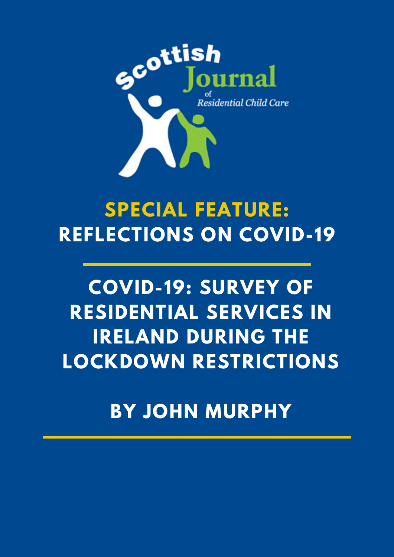

## **SPECIAL FEATURE: REFLECTIONS ON COVID-19**

# **COVID-19: SURVEY OF RESIDENTIAL SERVICES IN IRELAND DURING THE LOCKDOWN RESTRICTIONS**

**BY JOHN MURPHY**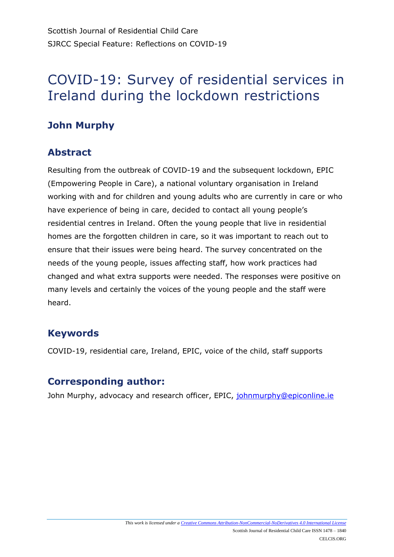## **John Murphy**

## **Abstract**

Resulting from the outbreak of COVID-19 and the subsequent lockdown, EPIC (Empowering People in Care), a national voluntary organisation in Ireland working with and for children and young adults who are currently in care or who have experience of being in care, decided to contact all young people's residential centres in Ireland. Often the young people that live in residential homes are the forgotten children in care, so it was important to reach out to ensure that their issues were being heard. The survey concentrated on the needs of the young people, issues affecting staff, how work practices had changed and what extra supports were needed. The responses were positive on many levels and certainly the voices of the young people and the staff were heard.

## **Keywords**

COVID-19, residential care, Ireland, EPIC, voice of the child, staff supports

## **Corresponding author:**

John Murphy, advocacy and research officer, EPIC, [johnmurphy@epiconline.ie](mailto:johnmurphy@epiconline.ie)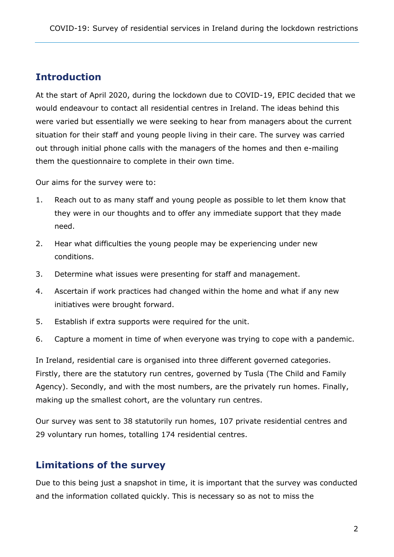## **Introduction**

At the start of April 2020, during the lockdown due to COVID-19, EPIC decided that we would endeavour to contact all residential centres in Ireland. The ideas behind this were varied but essentially we were seeking to hear from managers about the current situation for their staff and young people living in their care. The survey was carried out through initial phone calls with the managers of the homes and then e-mailing them the questionnaire to complete in their own time.

Our aims for the survey were to:

- 1. Reach out to as many staff and young people as possible to let them know that they were in our thoughts and to offer any immediate support that they made need.
- 2. Hear what difficulties the young people may be experiencing under new conditions.
- 3. Determine what issues were presenting for staff and management.
- 4. Ascertain if work practices had changed within the home and what if any new initiatives were brought forward.
- 5. Establish if extra supports were required for the unit.
- 6. Capture a moment in time of when everyone was trying to cope with a pandemic.

In Ireland, residential care is organised into three different governed categories. Firstly, there are the statutory run centres, governed by Tusla (The Child and Family Agency). Secondly, and with the most numbers, are the privately run homes. Finally, making up the smallest cohort, are the voluntary run centres.

Our survey was sent to 38 statutorily run homes, 107 private residential centres and 29 voluntary run homes, totalling 174 residential centres.

### **Limitations of the survey**

Due to this being just a snapshot in time, it is important that the survey was conducted and the information collated quickly. This is necessary so as not to miss the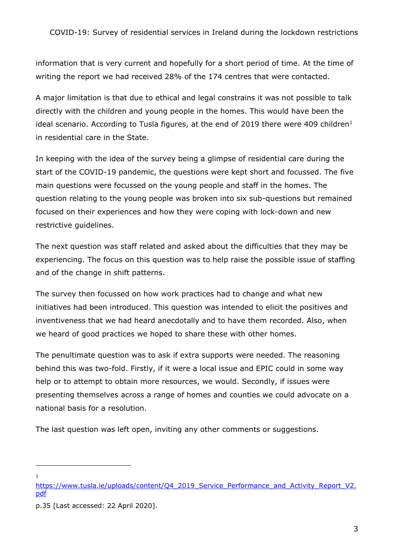information that is very current and hopefully for a short period of time. At the time of writing the report we had received 28% of the 174 centres that were contacted.

A major limitation is that due to ethical and legal constrains it was not possible to talk directly with the children and young people in the homes. This would have been the ideal scenario. According to Tusla figures, at the end of 2019 there were 409 children<sup>1</sup> in residential care in the State.

In keeping with the idea of the survey being a glimpse of residential care during the start of the COVID-19 pandemic, the questions were kept short and focussed. The five main questions were focussed on the young people and staff in the homes. The question relating to the young people was broken into six sub-questions but remained focused on their experiences and how they were coping with lock-down and new restrictive guidelines.

The next question was staff related and asked about the difficulties that they may be experiencing. The focus on this question was to help raise the possible issue of staffing and of the change in shift patterns.

The survey then focussed on how work practices had to change and what new initiatives had been introduced. This question was intended to elicit the positives and inventiveness that we had heard anecdotally and to have them recorded. Also, when we heard of good practices we hoped to share these with other homes.

The penultimate question was to ask if extra supports were needed. The reasoning behind this was two-fold. Firstly, if it were a local issue and EPIC could in some way help or to attempt to obtain more resources, we would. Secondly, if issues were presenting themselves across a range of homes and counties we could advocate on a national basis for a resolution.

The last question was left open, inviting any other comments or suggestions.

<u>.</u> 1

[https://www.tusla.ie/uploads/content/Q4\\_2019\\_Service\\_Performance\\_and\\_Activity\\_Report\\_V2.](https://www.tusla.ie/uploads/content/Q4_2019_Service_Performance_and_Activity_Report_V2.pdf) [pdf](https://www.tusla.ie/uploads/content/Q4_2019_Service_Performance_and_Activity_Report_V2.pdf)

p.35 [Last accessed: 22 April 2020].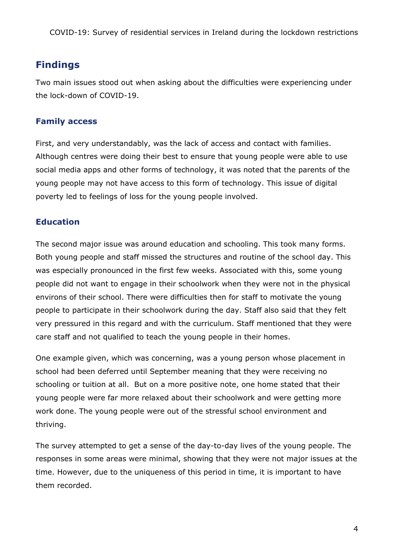## **Findings**

Two main issues stood out when asking about the difficulties were experiencing under the lock-down of COVID-19.

#### **Family access**

First, and very understandably, was the lack of access and contact with families. Although centres were doing their best to ensure that young people were able to use social media apps and other forms of technology, it was noted that the parents of the young people may not have access to this form of technology. This issue of digital poverty led to feelings of loss for the young people involved.

#### **Education**

The second major issue was around education and schooling. This took many forms. Both young people and staff missed the structures and routine of the school day. This was especially pronounced in the first few weeks. Associated with this, some young people did not want to engage in their schoolwork when they were not in the physical environs of their school. There were difficulties then for staff to motivate the young people to participate in their schoolwork during the day. Staff also said that they felt very pressured in this regard and with the curriculum. Staff mentioned that they were care staff and not qualified to teach the young people in their homes.

One example given, which was concerning, was a young person whose placement in school had been deferred until September meaning that they were receiving no schooling or tuition at all. But on a more positive note, one home stated that their young people were far more relaxed about their schoolwork and were getting more work done. The young people were out of the stressful school environment and thriving.

The survey attempted to get a sense of the day-to-day lives of the young people. The responses in some areas were minimal, showing that they were not major issues at the time. However, due to the uniqueness of this period in time, it is important to have them recorded.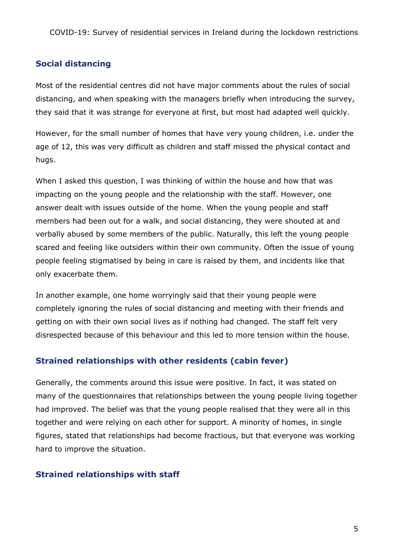#### **Social distancing**

Most of the residential centres did not have major comments about the rules of social distancing, and when speaking with the managers briefly when introducing the survey, they said that it was strange for everyone at first, but most had adapted well quickly.

However, for the small number of homes that have very young children, i.e. under the age of 12, this was very difficult as children and staff missed the physical contact and hugs.

When I asked this question, I was thinking of within the house and how that was impacting on the young people and the relationship with the staff. However, one answer dealt with issues outside of the home. When the young people and staff members had been out for a walk, and social distancing, they were shouted at and verbally abused by some members of the public. Naturally, this left the young people scared and feeling like outsiders within their own community. Often the issue of young people feeling stigmatised by being in care is raised by them, and incidents like that only exacerbate them.

In another example, one home worryingly said that their young people were completely ignoring the rules of social distancing and meeting with their friends and getting on with their own social lives as if nothing had changed. The staff felt very disrespected because of this behaviour and this led to more tension within the house.

#### **Strained relationships with other residents (cabin fever)**

Generally, the comments around this issue were positive. In fact, it was stated on many of the questionnaires that relationships between the young people living together had improved. The belief was that the young people realised that they were all in this together and were relying on each other for support. A minority of homes, in single figures, stated that relationships had become fractious, but that everyone was working hard to improve the situation.

#### **Strained relationships with staff**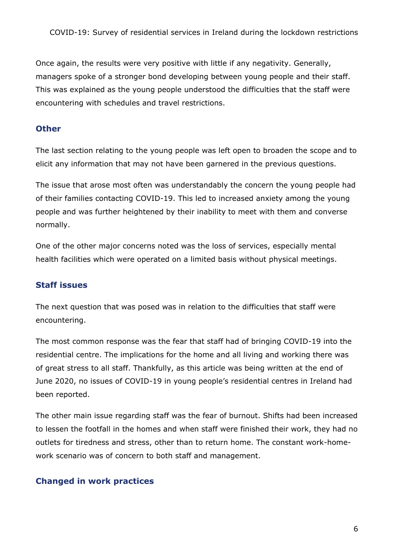Once again, the results were very positive with little if any negativity. Generally, managers spoke of a stronger bond developing between young people and their staff. This was explained as the young people understood the difficulties that the staff were encountering with schedules and travel restrictions.

#### **Other**

The last section relating to the young people was left open to broaden the scope and to elicit any information that may not have been garnered in the previous questions.

The issue that arose most often was understandably the concern the young people had of their families contacting COVID-19. This led to increased anxiety among the young people and was further heightened by their inability to meet with them and converse normally.

One of the other major concerns noted was the loss of services, especially mental health facilities which were operated on a limited basis without physical meetings.

#### **Staff issues**

The next question that was posed was in relation to the difficulties that staff were encountering.

The most common response was the fear that staff had of bringing COVID-19 into the residential centre. The implications for the home and all living and working there was of great stress to all staff. Thankfully, as this article was being written at the end of June 2020, no issues of COVID-19 in young people's residential centres in Ireland had been reported.

The other main issue regarding staff was the fear of burnout. Shifts had been increased to lessen the footfall in the homes and when staff were finished their work, they had no outlets for tiredness and stress, other than to return home. The constant work-homework scenario was of concern to both staff and management.

#### **Changed in work practices**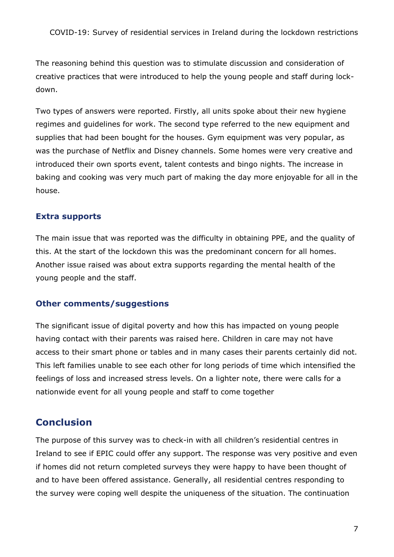The reasoning behind this question was to stimulate discussion and consideration of creative practices that were introduced to help the young people and staff during lockdown.

Two types of answers were reported. Firstly, all units spoke about their new hygiene regimes and guidelines for work. The second type referred to the new equipment and supplies that had been bought for the houses. Gym equipment was very popular, as was the purchase of Netflix and Disney channels. Some homes were very creative and introduced their own sports event, talent contests and bingo nights. The increase in baking and cooking was very much part of making the day more enjoyable for all in the house.

#### **Extra supports**

The main issue that was reported was the difficulty in obtaining PPE, and the quality of this. At the start of the lockdown this was the predominant concern for all homes. Another issue raised was about extra supports regarding the mental health of the young people and the staff.

#### **Other comments/suggestions**

The significant issue of digital poverty and how this has impacted on young people having contact with their parents was raised here. Children in care may not have access to their smart phone or tables and in many cases their parents certainly did not. This left families unable to see each other for long periods of time which intensified the feelings of loss and increased stress levels. On a lighter note, there were calls for a nationwide event for all young people and staff to come together

#### **Conclusion**

The purpose of this survey was to check-in with all children's residential centres in Ireland to see if EPIC could offer any support. The response was very positive and even if homes did not return completed surveys they were happy to have been thought of and to have been offered assistance. Generally, all residential centres responding to the survey were coping well despite the uniqueness of the situation. The continuation